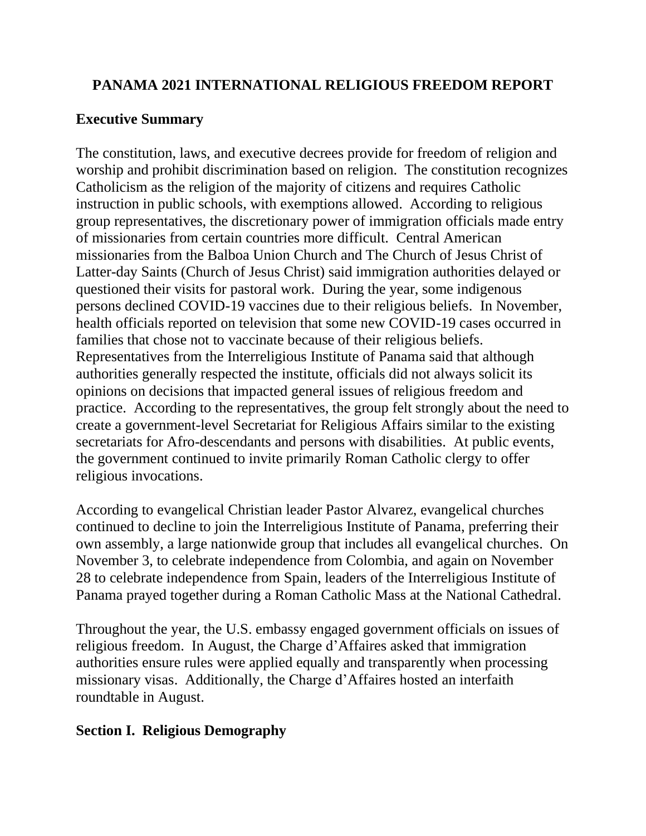# **PANAMA 2021 INTERNATIONAL RELIGIOUS FREEDOM REPORT**

# **Executive Summary**

The constitution, laws, and executive decrees provide for freedom of religion and worship and prohibit discrimination based on religion. The constitution recognizes Catholicism as the religion of the majority of citizens and requires Catholic instruction in public schools, with exemptions allowed. According to religious group representatives, the discretionary power of immigration officials made entry of missionaries from certain countries more difficult. Central American missionaries from the Balboa Union Church and The Church of Jesus Christ of Latter-day Saints (Church of Jesus Christ) said immigration authorities delayed or questioned their visits for pastoral work. During the year, some indigenous persons declined COVID-19 vaccines due to their religious beliefs. In November, health officials reported on television that some new COVID-19 cases occurred in families that chose not to vaccinate because of their religious beliefs. Representatives from the Interreligious Institute of Panama said that although authorities generally respected the institute, officials did not always solicit its opinions on decisions that impacted general issues of religious freedom and practice. According to the representatives, the group felt strongly about the need to create a government-level Secretariat for Religious Affairs similar to the existing secretariats for Afro-descendants and persons with disabilities. At public events, the government continued to invite primarily Roman Catholic clergy to offer religious invocations.

According to evangelical Christian leader Pastor Alvarez, evangelical churches continued to decline to join the Interreligious Institute of Panama, preferring their own assembly, a large nationwide group that includes all evangelical churches. On November 3, to celebrate independence from Colombia, and again on November 28 to celebrate independence from Spain, leaders of the Interreligious Institute of Panama prayed together during a Roman Catholic Mass at the National Cathedral.

Throughout the year, the U.S. embassy engaged government officials on issues of religious freedom. In August, the Charge d'Affaires asked that immigration authorities ensure rules were applied equally and transparently when processing missionary visas. Additionally, the Charge d'Affaires hosted an interfaith roundtable in August.

# **Section I. Religious Demography**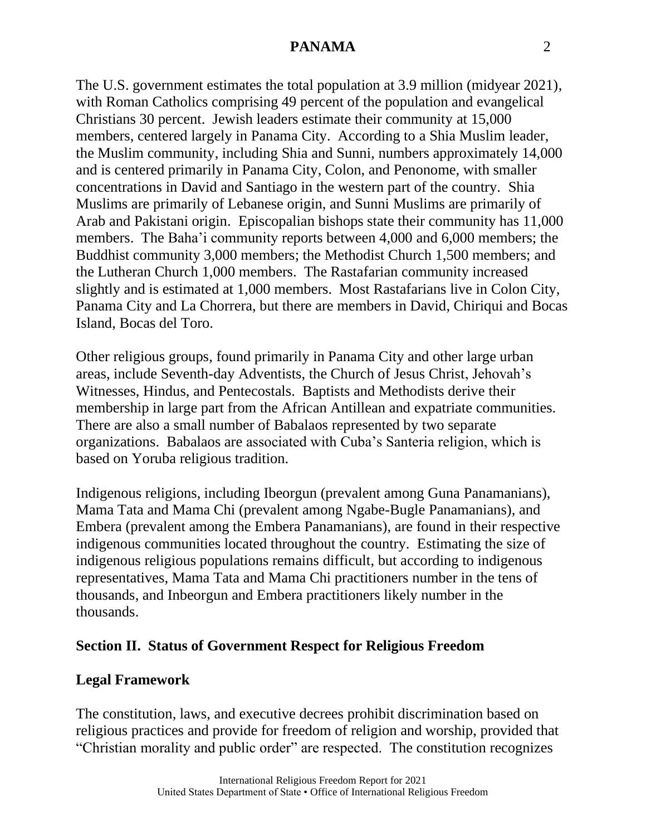The U.S. government estimates the total population at 3.9 million (midyear 2021), with Roman Catholics comprising 49 percent of the population and evangelical Christians 30 percent. Jewish leaders estimate their community at 15,000 members, centered largely in Panama City. According to a Shia Muslim leader, the Muslim community, including Shia and Sunni, numbers approximately 14,000 and is centered primarily in Panama City, Colon, and Penonome, with smaller concentrations in David and Santiago in the western part of the country. Shia Muslims are primarily of Lebanese origin, and Sunni Muslims are primarily of Arab and Pakistani origin. Episcopalian bishops state their community has 11,000 members. The Baha'i community reports between 4,000 and 6,000 members; the Buddhist community 3,000 members; the Methodist Church 1,500 members; and the Lutheran Church 1,000 members. The Rastafarian community increased slightly and is estimated at 1,000 members. Most Rastafarians live in Colon City, Panama City and La Chorrera, but there are members in David, Chiriqui and Bocas Island, Bocas del Toro.

Other religious groups, found primarily in Panama City and other large urban areas, include Seventh-day Adventists, the Church of Jesus Christ, Jehovah's Witnesses, Hindus, and Pentecostals. Baptists and Methodists derive their membership in large part from the African Antillean and expatriate communities. There are also a small number of Babalaos represented by two separate organizations. Babalaos are associated with Cuba's Santeria religion, which is based on Yoruba religious tradition.

Indigenous religions, including Ibeorgun (prevalent among Guna Panamanians), Mama Tata and Mama Chi (prevalent among Ngabe-Bugle Panamanians), and Embera (prevalent among the Embera Panamanians), are found in their respective indigenous communities located throughout the country. Estimating the size of indigenous religious populations remains difficult, but according to indigenous representatives, Mama Tata and Mama Chi practitioners number in the tens of thousands, and Inbeorgun and Embera practitioners likely number in the thousands.

## **Section II. Status of Government Respect for Religious Freedom**

#### **Legal Framework**

The constitution, laws, and executive decrees prohibit discrimination based on religious practices and provide for freedom of religion and worship, provided that "Christian morality and public order" are respected. The constitution recognizes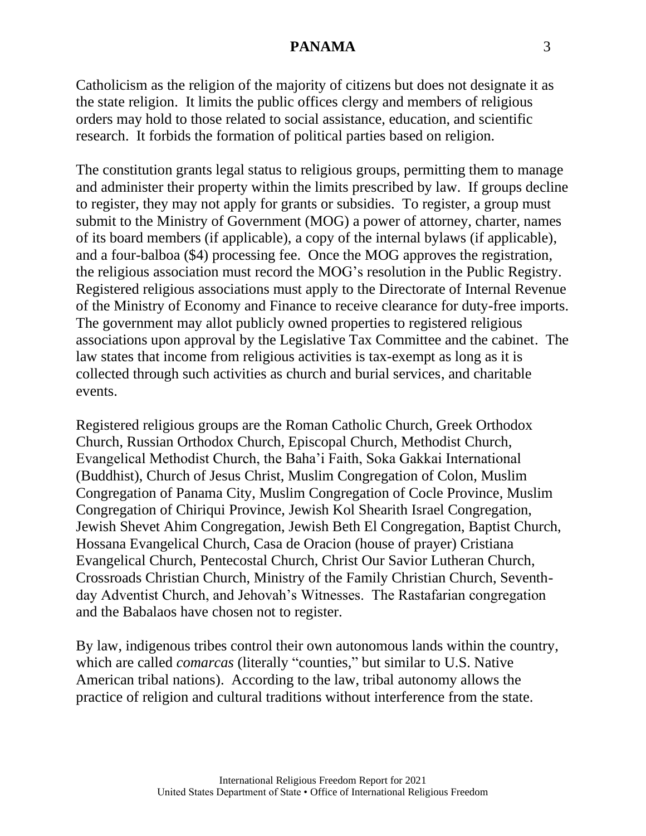Catholicism as the religion of the majority of citizens but does not designate it as the state religion. It limits the public offices clergy and members of religious orders may hold to those related to social assistance, education, and scientific research. It forbids the formation of political parties based on religion.

The constitution grants legal status to religious groups, permitting them to manage and administer their property within the limits prescribed by law. If groups decline to register, they may not apply for grants or subsidies. To register, a group must submit to the Ministry of Government (MOG) a power of attorney, charter, names of its board members (if applicable), a copy of the internal bylaws (if applicable), and a four-balboa (\$4) processing fee. Once the MOG approves the registration, the religious association must record the MOG's resolution in the Public Registry. Registered religious associations must apply to the Directorate of Internal Revenue of the Ministry of Economy and Finance to receive clearance for duty-free imports. The government may allot publicly owned properties to registered religious associations upon approval by the Legislative Tax Committee and the cabinet. The law states that income from religious activities is tax-exempt as long as it is collected through such activities as church and burial services, and charitable events.

Registered religious groups are the Roman Catholic Church, Greek Orthodox Church, Russian Orthodox Church, Episcopal Church, Methodist Church, Evangelical Methodist Church, the Baha'i Faith, Soka Gakkai International (Buddhist), Church of Jesus Christ, Muslim Congregation of Colon, Muslim Congregation of Panama City, Muslim Congregation of Cocle Province, Muslim Congregation of Chiriqui Province, Jewish Kol Shearith Israel Congregation, Jewish Shevet Ahim Congregation, Jewish Beth El Congregation, Baptist Church, Hossana Evangelical Church, Casa de Oracion (house of prayer) Cristiana Evangelical Church, Pentecostal Church, Christ Our Savior Lutheran Church, Crossroads Christian Church, Ministry of the Family Christian Church, Seventhday Adventist Church, and Jehovah's Witnesses. The Rastafarian congregation and the Babalaos have chosen not to register.

By law, indigenous tribes control their own autonomous lands within the country, which are called *comarcas* (literally "counties," but similar to U.S. Native American tribal nations). According to the law, tribal autonomy allows the practice of religion and cultural traditions without interference from the state.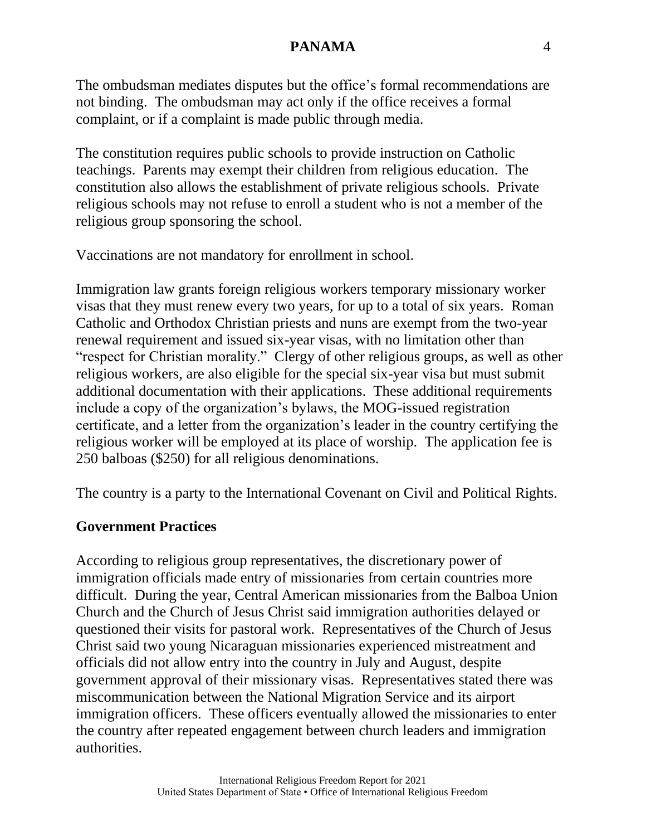The ombudsman mediates disputes but the office's formal recommendations are not binding. The ombudsman may act only if the office receives a formal complaint, or if a complaint is made public through media.

The constitution requires public schools to provide instruction on Catholic teachings. Parents may exempt their children from religious education. The constitution also allows the establishment of private religious schools. Private religious schools may not refuse to enroll a student who is not a member of the religious group sponsoring the school.

Vaccinations are not mandatory for enrollment in school.

Immigration law grants foreign religious workers temporary missionary worker visas that they must renew every two years, for up to a total of six years. Roman Catholic and Orthodox Christian priests and nuns are exempt from the two-year renewal requirement and issued six-year visas, with no limitation other than "respect for Christian morality." Clergy of other religious groups, as well as other religious workers, are also eligible for the special six-year visa but must submit additional documentation with their applications. These additional requirements include a copy of the organization's bylaws, the MOG-issued registration certificate, and a letter from the organization's leader in the country certifying the religious worker will be employed at its place of worship. The application fee is 250 balboas (\$250) for all religious denominations.

The country is a party to the International Covenant on Civil and Political Rights.

## **Government Practices**

According to religious group representatives, the discretionary power of immigration officials made entry of missionaries from certain countries more difficult. During the year, Central American missionaries from the Balboa Union Church and the Church of Jesus Christ said immigration authorities delayed or questioned their visits for pastoral work. Representatives of the Church of Jesus Christ said two young Nicaraguan missionaries experienced mistreatment and officials did not allow entry into the country in July and August, despite government approval of their missionary visas. Representatives stated there was miscommunication between the National Migration Service and its airport immigration officers. These officers eventually allowed the missionaries to enter the country after repeated engagement between church leaders and immigration authorities.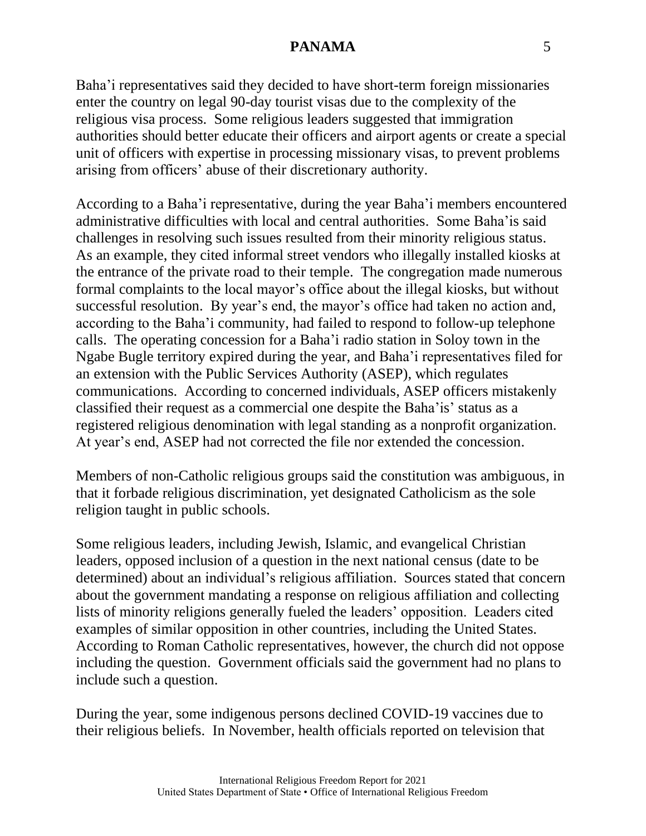Baha'i representatives said they decided to have short-term foreign missionaries enter the country on legal 90-day tourist visas due to the complexity of the religious visa process. Some religious leaders suggested that immigration authorities should better educate their officers and airport agents or create a special unit of officers with expertise in processing missionary visas, to prevent problems arising from officers' abuse of their discretionary authority.

According to a Baha'i representative, during the year Baha'i members encountered administrative difficulties with local and central authorities. Some Baha'is said challenges in resolving such issues resulted from their minority religious status. As an example, they cited informal street vendors who illegally installed kiosks at the entrance of the private road to their temple. The congregation made numerous formal complaints to the local mayor's office about the illegal kiosks, but without successful resolution. By year's end, the mayor's office had taken no action and, according to the Baha'i community, had failed to respond to follow-up telephone calls. The operating concession for a Baha'i radio station in Soloy town in the Ngabe Bugle territory expired during the year, and Baha'i representatives filed for an extension with the Public Services Authority (ASEP), which regulates communications. According to concerned individuals, ASEP officers mistakenly classified their request as a commercial one despite the Baha'is' status as a registered religious denomination with legal standing as a nonprofit organization. At year's end, ASEP had not corrected the file nor extended the concession.

Members of non-Catholic religious groups said the constitution was ambiguous, in that it forbade religious discrimination, yet designated Catholicism as the sole religion taught in public schools.

Some religious leaders, including Jewish, Islamic, and evangelical Christian leaders, opposed inclusion of a question in the next national census (date to be determined) about an individual's religious affiliation. Sources stated that concern about the government mandating a response on religious affiliation and collecting lists of minority religions generally fueled the leaders' opposition. Leaders cited examples of similar opposition in other countries, including the United States. According to Roman Catholic representatives, however, the church did not oppose including the question. Government officials said the government had no plans to include such a question.

During the year, some indigenous persons declined COVID-19 vaccines due to their religious beliefs. In November, health officials reported on television that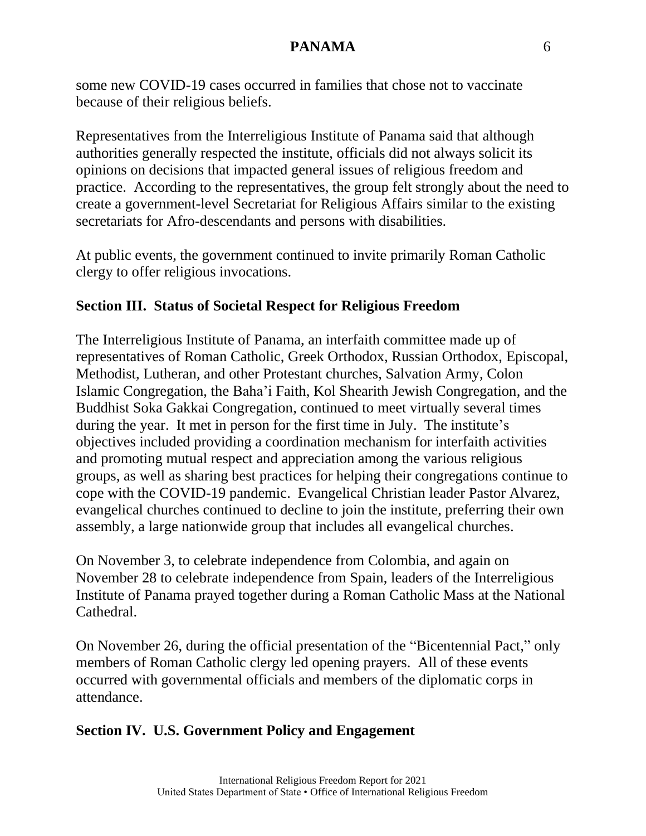some new COVID-19 cases occurred in families that chose not to vaccinate because of their religious beliefs.

Representatives from the Interreligious Institute of Panama said that although authorities generally respected the institute, officials did not always solicit its opinions on decisions that impacted general issues of religious freedom and practice. According to the representatives, the group felt strongly about the need to create a government-level Secretariat for Religious Affairs similar to the existing secretariats for Afro-descendants and persons with disabilities.

At public events, the government continued to invite primarily Roman Catholic clergy to offer religious invocations.

# **Section III. Status of Societal Respect for Religious Freedom**

The Interreligious Institute of Panama, an interfaith committee made up of representatives of Roman Catholic, Greek Orthodox, Russian Orthodox, Episcopal, Methodist, Lutheran, and other Protestant churches, Salvation Army, Colon Islamic Congregation, the Baha'i Faith, Kol Shearith Jewish Congregation, and the Buddhist Soka Gakkai Congregation, continued to meet virtually several times during the year. It met in person for the first time in July. The institute's objectives included providing a coordination mechanism for interfaith activities and promoting mutual respect and appreciation among the various religious groups, as well as sharing best practices for helping their congregations continue to cope with the COVID-19 pandemic. Evangelical Christian leader Pastor Alvarez, evangelical churches continued to decline to join the institute, preferring their own assembly, a large nationwide group that includes all evangelical churches.

On November 3, to celebrate independence from Colombia, and again on November 28 to celebrate independence from Spain, leaders of the Interreligious Institute of Panama prayed together during a Roman Catholic Mass at the National Cathedral.

On November 26, during the official presentation of the "Bicentennial Pact," only members of Roman Catholic clergy led opening prayers. All of these events occurred with governmental officials and members of the diplomatic corps in attendance.

## **Section IV. U.S. Government Policy and Engagement**